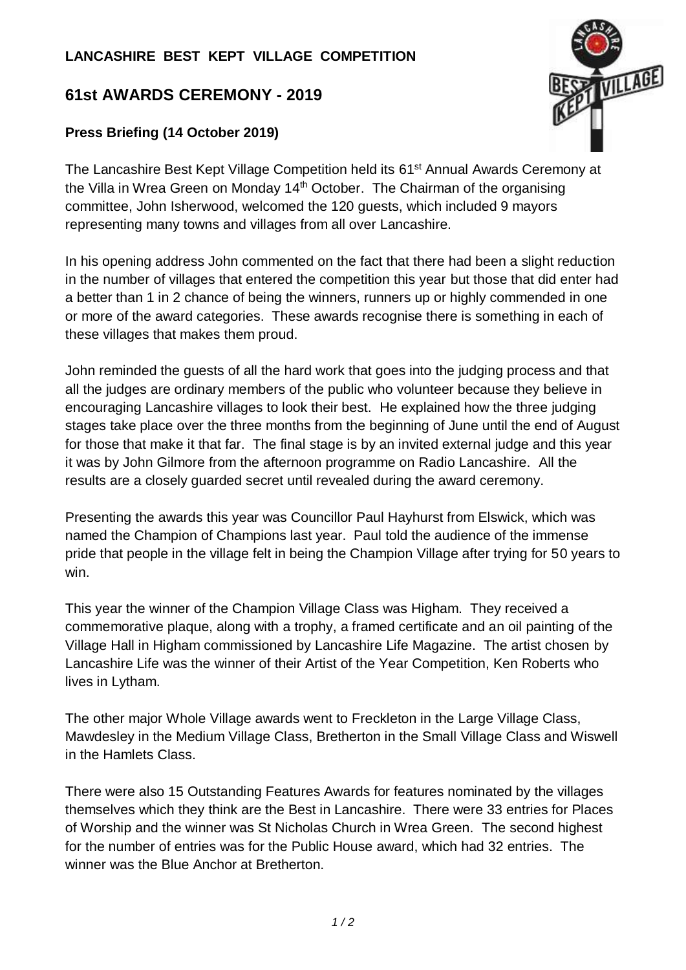## **LANCASHIRE BEST KEPT VILLAGE COMPETITION**

## **61st AWARDS CEREMONY - 2019**

## **Press Briefing (14 October 2019)**



The Lancashire Best Kept Village Competition held its 61<sup>st</sup> Annual Awards Ceremony at the Villa in Wrea Green on Monday 14<sup>th</sup> October. The Chairman of the organising committee, John Isherwood, welcomed the 120 guests, which included 9 mayors representing many towns and villages from all over Lancashire.

In his opening address John commented on the fact that there had been a slight reduction in the number of villages that entered the competition this year but those that did enter had a better than 1 in 2 chance of being the winners, runners up or highly commended in one or more of the award categories. These awards recognise there is something in each of these villages that makes them proud.

John reminded the guests of all the hard work that goes into the judging process and that all the judges are ordinary members of the public who volunteer because they believe in encouraging Lancashire villages to look their best. He explained how the three judging stages take place over the three months from the beginning of June until the end of August for those that make it that far. The final stage is by an invited external judge and this year it was by John Gilmore from the afternoon programme on Radio Lancashire. All the results are a closely guarded secret until revealed during the award ceremony.

Presenting the awards this year was Councillor Paul Hayhurst from Elswick, which was named the Champion of Champions last year. Paul told the audience of the immense pride that people in the village felt in being the Champion Village after trying for 50 years to win.

This year the winner of the Champion Village Class was Higham. They received a commemorative plaque, along with a trophy, a framed certificate and an oil painting of the Village Hall in Higham commissioned by Lancashire Life Magazine. The artist chosen by Lancashire Life was the winner of their Artist of the Year Competition, Ken Roberts who lives in Lytham.

The other major Whole Village awards went to Freckleton in the Large Village Class, Mawdesley in the Medium Village Class, Bretherton in the Small Village Class and Wiswell in the Hamlets Class.

There were also 15 Outstanding Features Awards for features nominated by the villages themselves which they think are the Best in Lancashire. There were 33 entries for Places of Worship and the winner was St Nicholas Church in Wrea Green. The second highest for the number of entries was for the Public House award, which had 32 entries. The winner was the Blue Anchor at Bretherton.